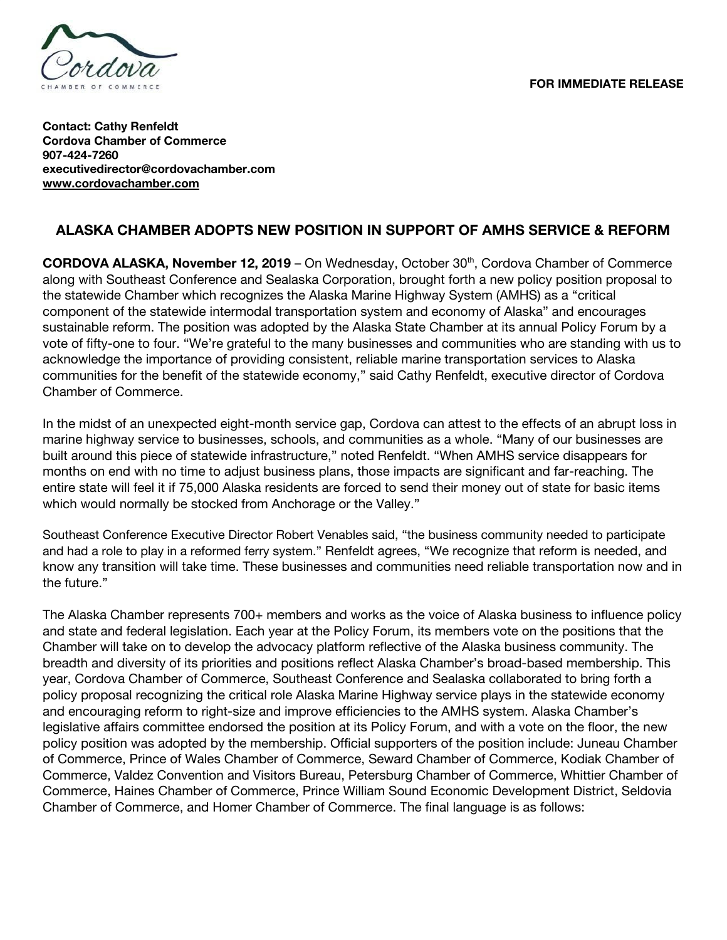

**Contact: Cathy Renfeldt Cordova Chamber of Commerce 907-424-7260 executivedirector@cordovachamber.com [www.cordovachamber.com](http://www.cordovachamber.com/)**

## **ALASKA CHAMBER ADOPTS NEW POSITION IN SUPPORT OF AMHS SERVICE & REFORM**

**CORDOVA ALASKA, November 12, 2019** – On Wednesday, October 30 th , Cordova Chamber of Commerce along with Southeast Conference and Sealaska Corporation, brought forth a new policy position proposal to the statewide Chamber which recognizes the Alaska Marine Highway System (AMHS) as a "critical component of the statewide intermodal transportation system and economy of Alaska" and encourages sustainable reform. The position was adopted by the Alaska State Chamber at its annual Policy Forum by a vote of fifty-one to four. "We're grateful to the many businesses and communities who are standing with us to acknowledge the importance of providing consistent, reliable marine transportation services to Alaska communities for the benefit of the statewide economy," said Cathy Renfeldt, executive director of Cordova Chamber of Commerce.

In the midst of an unexpected eight-month service gap, Cordova can attest to the effects of an abrupt loss in marine highway service to businesses, schools, and communities as a whole. "Many of our businesses are built around this piece of statewide infrastructure," noted Renfeldt. "When AMHS service disappears for months on end with no time to adjust business plans, those impacts are significant and far-reaching. The entire state will feel it if 75,000 Alaska residents are forced to send their money out of state for basic items which would normally be stocked from Anchorage or the Valley."

Southeast Conference Executive Director Robert Venables said, "the business community needed to participate and had a role to play in a reformed ferry system." Renfeldt agrees, "We recognize that reform is needed, and know any transition will take time. These businesses and communities need reliable transportation now and in the future."

The Alaska Chamber represents 700+ members and works as the voice of Alaska business to influence policy and state and federal legislation. Each year at the Policy Forum, its members vote on the positions that the Chamber will take on to develop the advocacy platform reflective of the Alaska business community. The breadth and diversity of its priorities and positions reflect Alaska Chamber's broad-based membership. This year, Cordova Chamber of Commerce, Southeast Conference and Sealaska collaborated to bring forth a policy proposal recognizing the critical role Alaska Marine Highway service plays in the statewide economy and encouraging reform to right-size and improve efficiencies to the AMHS system. Alaska Chamber's legislative affairs committee endorsed the position at its Policy Forum, and with a vote on the floor, the new policy position was adopted by the membership. Official supporters of the position include: Juneau Chamber of Commerce, Prince of Wales Chamber of Commerce, Seward Chamber of Commerce, Kodiak Chamber of Commerce, Valdez Convention and Visitors Bureau, Petersburg Chamber of Commerce, Whittier Chamber of Commerce, Haines Chamber of Commerce, Prince William Sound Economic Development District, Seldovia Chamber of Commerce, and Homer Chamber of Commerce. The final language is as follows: